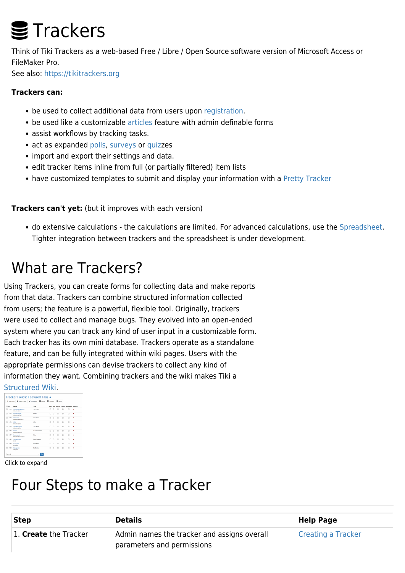# **≣** Trackers

Think of Tiki Trackers as a web-based Free / Libre / Open Source software version of Microsoft Access or FileMaker Pro.

See also:<https://tikitrackers.org>

#### **Trackers can:**

- be used to collect additional data from users upon [registration.](https://doc.tiki.org/User-Tracker)
- be used like a customizable [articles](https://doc.tiki.org/Articles) feature with admin definable forms
- assist workflows by tracking tasks.
- act as expanded [polls](https://doc.tiki.org/Polls), [surveys](https://doc.tiki.org/Surveys) or [quiz](https://doc.tiki.org/Quiz)zes
- import and export their settings and data.
- edit tracker items inline from full (or partially filtered) item lists
- have customized templates to submit and display your information with a [Pretty Tracker](https://doc.tiki.org/Pretty-Tracker)

**Trackers can't yet:** (but it improves with each version)

do extensive calculations - the calculations are limited. For advanced calculations, use the [Spreadsheet](https://doc.tiki.org/Spreadsheet). Tighter integration between trackers and the spreadsheet is under development.

### What are Trackers?

Using Trackers, you can create forms for collecting data and make reports from that data. Trackers can combine structured information collected from users; the feature is a powerful, flexible tool. Originally, trackers were used to collect and manage bugs. They evolved into an open-ended system where you can track any kind of user input in a customizable form. Each tracker has its own mini database. Trackers operate as a standalone feature, and can be fully integrated within wiki pages. Users with the appropriate permissions can devise trackers to collect any kind of information they want. Combining trackers and the wiki makes Tiki a

#### [Structured Wiki.](http://wikis.wikia.com/wiki/Structured_wiki)

| + Add Field |     |             | <b>J.</b> Import Fields                   | <b>A</b> Properties   | <b>III</b> Finish | <b>B</b> Trackers |        | <b>III</b> terrs |   |                                            |   |
|-------------|-----|-------------|-------------------------------------------|-----------------------|-------------------|-------------------|--------|------------------|---|--------------------------------------------|---|
| $\Box$ in   |     | Marsa       |                                           | Type                  |                   |                   |        |                  |   | List Title Search Public Mandatory Actions |   |
| n           | 171 |             | Site ovnerigentor<br><b>SConsortions</b>  | <b>Text Field</b>     |                   | п                 | D      | о                | ø | o                                          | × |
| п           | 122 |             | Contact aroul<br><b>Strategy</b> Freed    | Cryst                 |                   | п                 | п      | п                | ø | п                                          | × |
| п           | 173 |             | Site name<br><b>Mitsubandianiana</b>      | <b>Tays Class</b>     |                   | $\Box$            | ×      | D                | ø | R                                          | × |
| n           | 174 | <b>LIDE</b> | <b>WEndomERL</b>                          | <b>LIDE</b>           |                   | R                 | п      | п                | R | R                                          | × |
| D           | 125 |             | Site description<br><b>Windows</b>        | <b>Text Area</b>      |                   | n                 | D      | D                | R | R                                          | × |
| D           | 178 | tevitt      | <b>SCARAVEUCH</b>                         | AutoJaconesed         |                   | $\Box$            | $\Box$ | D                | R | $\Box$                                     | × |
| D           | 177 |             | <b>Parameters</b><br><b>SCHEMAN HAMAN</b> | Flint                 |                   | R                 | O      | $\Box$           | R | ø                                          | × |
| D           | 180 | 1.992       | <b>Ste submitter</b>                      | <b>Live Selection</b> |                   | Ω                 | D      | D                | R | Ω                                          | × |
| п           | 180 | accepted    | Accessed                                  | Checkbox              |                   | п                 | о      | o                | ø | o                                          | × |
| п           | 194 |             | Categories<br><b>Extension</b>            | <b>AA drivelers</b>   |                   | п                 | п      | п                | R | п                                          | × |

#### Click to expand

#### Four Steps to make a Tracker

| <b>Step</b>           | <b>Details</b>                              | <b>Help Page</b>   |  |  |
|-----------------------|---------------------------------------------|--------------------|--|--|
| 1. Create the Tracker | Admin names the tracker and assigns overall | Creating a Tracker |  |  |
|                       | parameters and permissions                  |                    |  |  |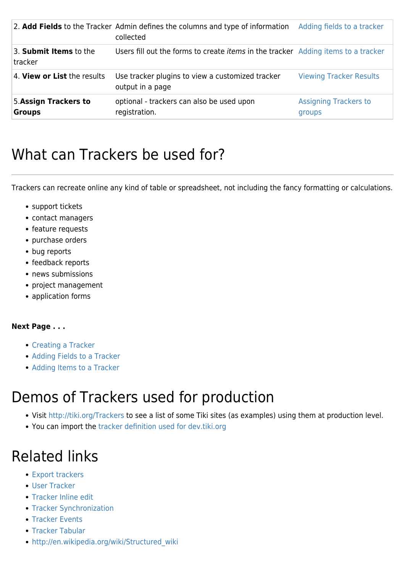|                                        | 2. Add Fields to the Tracker Admin defines the columns and type of information<br>collected | Adding fields to a tracker             |
|----------------------------------------|---------------------------------------------------------------------------------------------|----------------------------------------|
| 3. Submit Items to the<br>tracker      | Users fill out the forms to create <i>items</i> in the tracker Adding items to a tracker    |                                        |
| 4. View or List the results            | Use tracker plugins to view a customized tracker<br>output in a page                        | <b>Viewing Tracker Results</b>         |
| 5. Assign Trackers to<br><b>Groups</b> | optional - trackers can also be used upon<br>registration.                                  | <b>Assigning Trackers to</b><br>groups |

### What can Trackers be used for?

Trackers can recreate online any kind of table or spreadsheet, not including the fancy formatting or calculations.

- support tickets
- contact managers
- feature requests
- purchase orders
- bug reports
- feedback reports
- news submissions
- project management
- application forms

#### **Next Page . . .**

- [Creating a Tracker](https://doc.tiki.org/Creating-a-Tracker)
- [Adding Fields to a Tracker](https://doc.tiki.org/Adding-fields-to-a-tracker)
- [Adding Items to a Tracker](https://doc.tiki.org/Adding-items-to-a-tracker)

### Demos of Trackers used for production

- Visit <http://tiki.org/Trackers>to see a list of some Tiki sites (as examples) using them at production level.
- You can import the [tracker definition used for dev.tiki.org](http://dev.tiki.org/DevTrackerStructure)

### Related links

- [Export trackers](https://doc.tiki.org/Export-trackers)
- [User Tracker](https://doc.tiki.org/User-Tracker)
- [Tracker Inline edit](https://doc.tiki.org/Tracker-Inline-edit)
- [Tracker Synchronization](https://doc.tiki.org/Tracker-Synchronization)
- **[Tracker Events](https://doc.tiki.org/Tracker-Events)**
- [Tracker Tabular](https://doc.tiki.org/Tracker-Tabular)
- [http://en.wikipedia.org/wiki/Structured\\_wiki](http://en.wikipedia.org/wiki/Structured_wiki)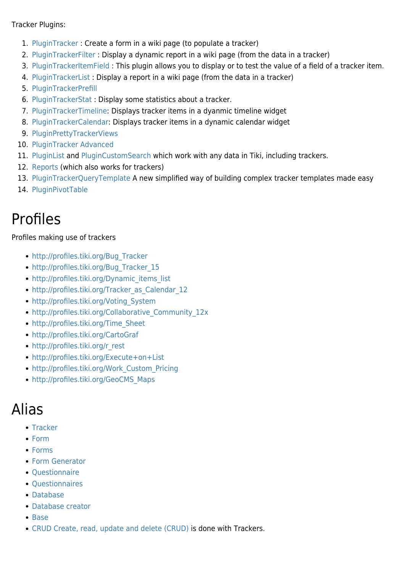#### Tracker Plugins:

- 1. [PluginTracker](https://doc.tiki.org/PluginTracker) : Create a form in a wiki page (to populate a tracker)
- 2. [PluginTrackerFilter](https://doc.tiki.org/PluginTrackerFilter) : Display a dynamic report in a wiki page (from the data in a tracker)
- 3. [PluginTrackerItemField](https://doc.tiki.org/PluginTrackerItemField) : This plugin allows you to display or to test the value of a field of a tracker item.
- 4. [PluginTrackerList](https://doc.tiki.org/PluginTrackerList) : Display a report in a wiki page (from the data in a tracker)
- 5. [PluginTrackerPrefill](https://doc.tiki.org/PluginTrackerPrefill)
- 6. [PluginTrackerStat](https://doc.tiki.org/PluginTrackerStat) : Display some statistics about a tracker.
- 7. [PluginTrackerTimeline](https://doc.tiki.org/PluginTrackerTimeline): Displays tracker items in a dyanmic timeline widget
- 8. [PluginTrackerCalendar](https://doc.tiki.org/PluginTrackerCalendar): Displays tracker items in a dynamic calendar widget
- 9. [PluginPrettyTrackerViews](https://doc.tiki.org/PluginPrettyTrackerViews)
- 10. [PluginTracker Advanced](https://doc.tiki.org/PluginTracker-Advanced)
- 11. [PluginList](https://doc.tiki.org/PluginList) and [PluginCustomSearch](https://doc.tiki.org/PluginCustomSearch) which work with any data in Tiki, including trackers.
- 12. [Reports](https://doc.tiki.org/Reports) (which also works for trackers)
- 13. [PluginTrackerQueryTemplate](https://doc.tiki.org/PluginTrackerQueryTemplate) A new simplified way of building complex tracker templates made easy
- 14. [PluginPivotTable](https://doc.tiki.org/PluginPivotTable)

#### Profiles

#### Profiles making use of trackers

- [http://profiles.tiki.org/Bug\\_Tracker](http://profiles.tiki.org/Bug_Tracker)
- [http://profiles.tiki.org/Bug\\_Tracker\\_15](http://profiles.tiki.org/Bug_Tracker_15)
- [http://profiles.tiki.org/Dynamic\\_items\\_list](http://profiles.tiki.org/Dynamic_items_list)
- [http://profiles.tiki.org/Tracker\\_as\\_Calendar\\_12](http://profiles.tiki.org/Tracker_as_Calendar_12)
- [http://profiles.tiki.org/Voting\\_System](http://profiles.tiki.org/Voting_System)
- [http://profiles.tiki.org/Collaborative\\_Community\\_12x](http://profiles.tiki.org/Collaborative_Community_12x)
- [http://profiles.tiki.org/Time\\_Sheet](http://profiles.tiki.org/Time_Sheet)
- <http://profiles.tiki.org/CartoGraf>
- [http://profiles.tiki.org/r\\_rest](http://profiles.tiki.org/r_rest)
- <http://profiles.tiki.org/Execute+on+List>
- [http://profiles.tiki.org/Work\\_Custom\\_Pricing](http://profiles.tiki.org/Work_Custom_Pricing)
- [http://profiles.tiki.org/GeoCMS\\_Maps](http://profiles.tiki.org/GeoCMS_Maps)

#### Alias

- [Tracker](https://doc.tiki.org/Tracker)
- [Form](https://doc.tiki.org/Form)
- [Forms](https://doc.tiki.org/Forms)
- [Form Generator](https://doc.tiki.org/Form-Generator)
- Ouestionnaire
- [Questionnaires](https://doc.tiki.org/Questionnaires)
- [Database](https://doc.tiki.org/Database)
- [Database creator](https://doc.tiki.org/Database-creator)
- [Base](https://doc.tiki.org/Base)
- [CRUD](https://doc.tiki.org/CRUD) [Create, read, update and delete \(CRUD\)](http://en.wikipedia.org/wiki/Create,_read,_update_and_delete) is done with Trackers.